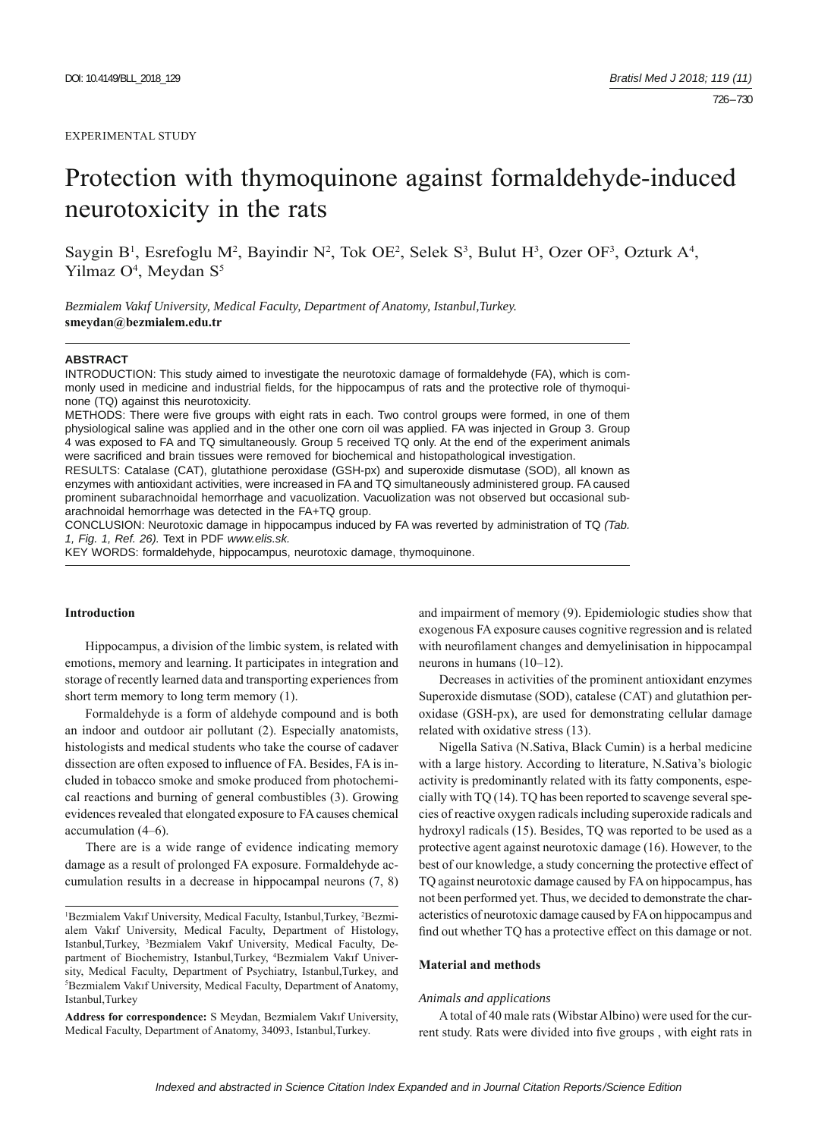#### EXPERIMENTAL STUDY

# Protection with thymoquinone against formaldehyde-induced neurotoxicity in the rats

Saygin B<sup>1</sup>, Esrefoglu M<sup>2</sup>, Bayindir N<sup>2</sup>, Tok OE<sup>2</sup>, Selek S<sup>3</sup>, Bulut H<sup>3</sup>, Ozer OF<sup>3</sup>, Ozturk A<sup>4</sup>, Yilmaz O<sup>4</sup>, Meydan S<sup>5</sup>

*Bezmialem Vakıf University, Medical Faculty, Department of Anatomy, Istanbul,Turkey.*  **smeydan@bezmialem.edu.tr**

#### **ABSTRACT**

INTRODUCTION: This study aimed to investigate the neurotoxic damage of formaldehyde (FA), which is commonly used in medicine and industrial fields, for the hippocampus of rats and the protective role of thymoquinone (TQ) against this neurotoxicity.

METHODS: There were five groups with eight rats in each. Two control groups were formed, in one of them physiological saline was applied and in the other one corn oil was applied. FA was injected in Group 3. Group 4 was exposed to FA and TQ simultaneously. Group 5 received TQ only. At the end of the experiment animals were sacrificed and brain tissues were removed for biochemical and histopathological investigation.

RESULTS: Catalase (CAT), glutathione peroxidase (GSH-px) and superoxide dismutase (SOD), all known as enzymes with antioxidant activities, were increased in FA and TQ simultaneously administered group. FA caused prominent subarachnoidal hemorrhage and vacuolization. Vacuolization was not observed but occasional subarachnoidal hemorrhage was detected in the FA+TQ group.

CONCLUSION: Neurotoxic damage in hippocampus induced by FA was reverted by administration of TQ *(Tab. 1, Fig. 1, Ref. 26).* Text in PDF *www.elis.sk.*

KEY WORDS: formaldehyde, hippocampus, neurotoxic damage, thymoquinone.

# **Introduction**

Hippocampus, a division of the limbic system, is related with emotions, memory and learning. It participates in integration and storage of recently learned data and transporting experiences from short term memory to long term memory (1).

Formaldehyde is a form of aldehyde compound and is both an indoor and outdoor air pollutant (2). Especially anatomists, histologists and medical students who take the course of cadaver dissection are often exposed to influence of FA. Besides, FA is included in tobacco smoke and smoke produced from photochemical reactions and burning of general combustibles (3). Growing evidences revealed that elongated exposure to FA causes chemical accumulation (4–6).

There are is a wide range of evidence indicating memory damage as a result of prolonged FA exposure. Formaldehyde accumulation results in a decrease in hippocampal neurons (7, 8)

**Address for correspondence:** S Meydan, Bezmialem Vakıf University, Medical Faculty, Department of Anatomy, 34093, Istanbul,Turkey.

and impairment of memory (9). Epidemiologic studies show that exogenous FA exposure causes cognitive regression and is related with neurofilament changes and demyelinisation in hippocampal neurons in humans (10–12).

Decreases in activities of the prominent antioxidant enzymes Superoxide dismutase (SOD), catalese (CAT) and glutathion peroxidase (GSH-px), are used for demonstrating cellular damage related with oxidative stress (13).

Nigella Sativa (N.Sativa, Black Cumin) is a herbal medicine with a large history. According to literature, N.Sativa's biologic activity is predominantly related with its fatty components, especially with TQ (14). TQ has been reported to scavenge several species of reactive oxygen radicals including superoxide radicals and hydroxyl radicals (15). Besides, TQ was reported to be used as a protective agent against neurotoxic damage (16). However, to the best of our knowledge, a study concerning the protective effect of TQ against neurotoxic damage caused by FA on hippocampus, has not been performed yet. Thus, we decided to demonstrate the characteristics of neurotoxic damage caused by FA on hippocampus and find out whether TQ has a protective effect on this damage or not.

## **Material and methods**

#### *Animals and applications*

A total of 40 male rats (Wibstar Albino) were used for the current study. Rats were divided into five groups, with eight rats in

<sup>&</sup>lt;sup>1</sup>Bezmialem Vakıf University, Medical Faculty, Istanbul, Turkey, <sup>2</sup>Bezmialem Vakıf University, Medical Faculty, Department of Histology, Istanbul,Turkey, <sup>3</sup>Bezmialem Vakıf University, Medical Faculty, Department of Biochemistry, Istanbul, Turkey, <sup>4</sup>Bezmialem Vakıf University, Medical Faculty, Department of Psychiatry, Istanbul,Turkey, and 5 Bezmialem Vakıf University, Medical Faculty, Department of Anatomy, Istanbul,Turkey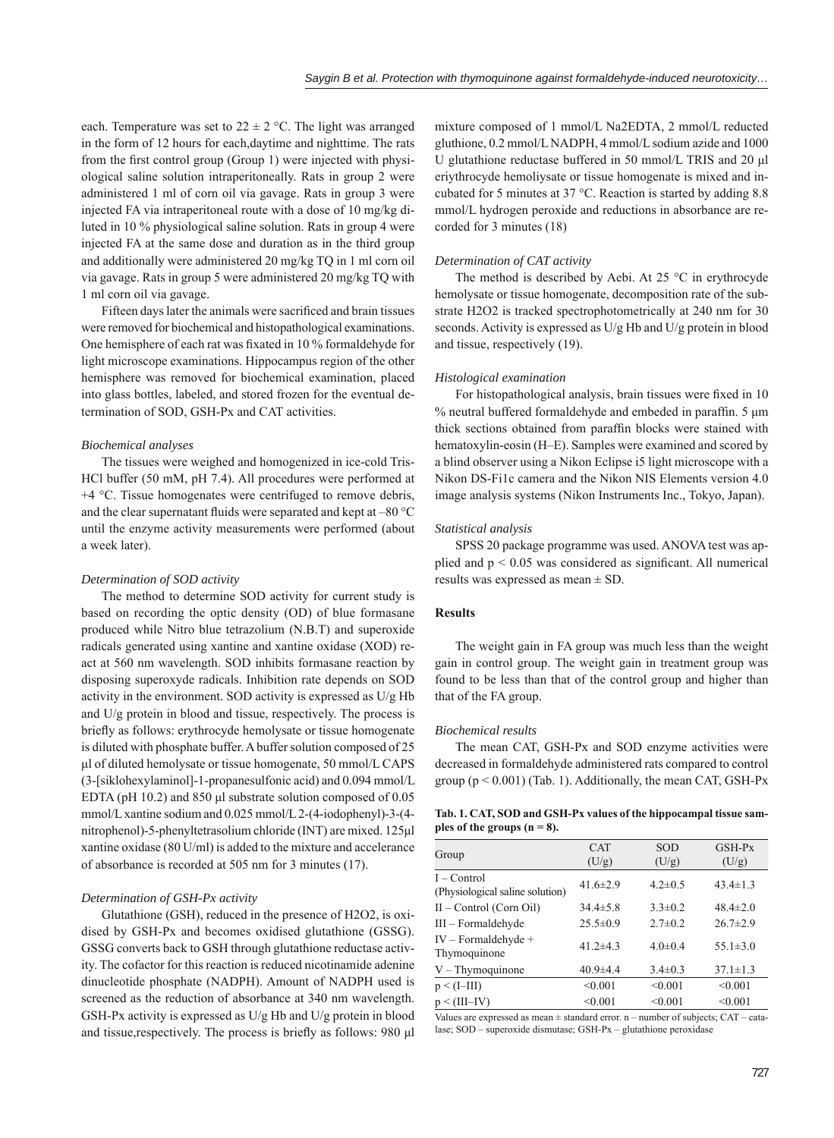each. Temperature was set to  $22 \pm 2$  °C. The light was arranged in the form of 12 hours for each,daytime and nighttime. The rats from the first control group (Group 1) were injected with physiological saline solution intraperitoneally. Rats in group 2 were administered 1 ml of corn oil via gavage. Rats in group 3 were injected FA via intraperitoneal route with a dose of 10 mg/kg diluted in 10 % physiological saline solution. Rats in group 4 were injected FA at the same dose and duration as in the third group and additionally were administered 20 mg/kg TQ in 1 ml corn oil via gavage. Rats in group 5 were administered 20 mg/kg TQ with 1 ml corn oil via gavage.

Fifteen days later the animals were sacrificed and brain tissues were removed for biochemical and histopathological examinations. One hemisphere of each rat was fixated in 10 % formaldehyde for light microscope examinations. Hippocampus region of the other hemisphere was removed for biochemical examination, placed into glass bottles, labeled, and stored frozen for the eventual determination of SOD, GSH-Px and CAT activities.

# *Biochemical analyses*

The tissues were weighed and homogenized in ice-cold Tris-HCl buffer (50 mM, pH 7.4). All procedures were performed at +4 °C. Tissue homogenates were centrifuged to remove debris, and the clear supernatant fluids were separated and kept at  $-80^{\circ}$ C until the enzyme activity measurements were performed (about a week later).

## *Determination of SOD activity*

The method to determine SOD activity for current study is based on recording the optic density (OD) of blue formasane produced while Nitro blue tetrazolium (N.B.T) and superoxide radicals generated using xantine and xantine oxidase (XOD) react at 560 nm wavelength. SOD inhibits formasane reaction by disposing superoxyde radicals. Inhibition rate depends on SOD activity in the environment. SOD activity is expressed as U/g Hb and U/g protein in blood and tissue, respectively. The process is briefly as follows: erythrocyde hemolysate or tissue homogenate is diluted with phosphate buffer. A buffer solution composed of 25 μl of diluted hemolysate or tissue homogenate, 50 mmol/L CAPS (3-[siklohexylaminol]-1-propanesulfonic acid) and 0.094 mmol/L EDTA (pH 10.2) and 850 μl substrate solution composed of 0.05 mmol/L xantine sodium and 0.025 mmol/L 2-(4-iodophenyl)-3-(4 nitrophenol)-5-phenyltetrasolium chloride (INT) are mixed. 125μl xantine oxidase (80 U/ml) is added to the mixture and accelerance of absorbance is recorded at 505 nm for 3 minutes (17).

## *Determination of GSH-Px activity*

Glutathione (GSH), reduced in the presence of H2O2, is oxidised by GSH-Px and becomes oxidised glutathione (GSSG). GSSG converts back to GSH through glutathione reductase activity. The cofactor for this reaction is reduced nicotinamide adenine dinucleotide phosphate (NADPH). Amount of NADPH used is screened as the reduction of absorbance at 340 nm wavelength. GSH-Px activity is expressed as U/g Hb and U/g protein in blood and tissue, respectively. The process is briefly as follows:  $980 \mu l$ 

mixture composed of 1 mmol/L Na2EDTA, 2 mmol/L reducted gluthione, 0.2 mmol/L NADPH, 4 mmol/L sodium azide and 1000 U glutathione reductase buffered in 50 mmol/L TRIS and 20 μl eriythrocyde hemoliysate or tissue homogenate is mixed and incubated for 5 minutes at 37 °C. Reaction is started by adding 8.8 mmol/L hydrogen peroxide and reductions in absorbance are recorded for 3 minutes (18)

## *Determination of CAT activity*

The method is described by Aebi. At 25 °C in erythrocyde hemolysate or tissue homogenate, decomposition rate of the substrate H2O2 is tracked spectrophotometrically at 240 nm for 30 seconds. Activity is expressed as U/g Hb and U/g protein in blood and tissue, respectively (19).

#### *Histological examination*

For histopathological analysis, brain tissues were fixed in 10 % neutral buffered formaldehyde and embeded in paraffin. 5 μm thick sections obtained from paraffin blocks were stained with hematoxylin-eosin (H–E). Samples were examined and scored by a blind observer using a Nikon Eclipse i5 light microscope with a Nikon DS-Fi1c camera and the Nikon NIS Elements version 4.0 image analysis systems (Nikon Instruments Inc., Tokyo, Japan).

## *Statistical analysis*

SPSS 20 package programme was used. ANOVA test was applied and  $p < 0.05$  was considered as significant. All numerical results was expressed as mean ± SD.

# **Results**

The weight gain in FA group was much less than the weight gain in control group. The weight gain in treatment group was found to be less than that of the control group and higher than that of the FA group.

#### *Biochemical results*

The mean CAT, GSH-Px and SOD enzyme activities were decreased in formaldehyde administered rats compared to control group ( $p < 0.001$ ) (Tab. 1). Additionally, the mean CAT, GSH-Px

|                                | Tab. 1. CAT, SOD and GSH-Px values of the hippocampal tissue sam- |
|--------------------------------|-------------------------------------------------------------------|
| ples of the groups $(n = 8)$ . |                                                                   |

| Group                                            | <b>CAT</b><br>(U/g) | <b>SOD</b><br>(U/g) | $GSH-PX$<br>(U/g) |
|--------------------------------------------------|---------------------|---------------------|-------------------|
| $I - Control$<br>(Physiological saline solution) | 41.6 $\pm$ 2.9      | $4.2 \pm 0.5$       | $43.4 \pm 1.3$    |
| $II$ – Control (Corn Oil)                        | $34.4 \pm 5.8$      | $3.3 \pm 0.2$       | $48.4 \pm 2.0$    |
| $III$ – Formaldehyde                             | $25.5 \pm 0.9$      | $2.7 \pm 0.2$       | $26.7 \pm 2.9$    |
| $IV - Formaldehyde +$<br>Thymoquinone            | 41.2 $\pm$ 4.3      | $4.0 \pm 0.4$       | 55.1 $\pm$ 3.0    |
| $V - Thymoquinone$                               | $40.9 \pm 4.4$      | $3.4 \pm 0.3$       | $37.1 \pm 1.3$    |
| $p \leq (I - III)$                               | < 0.001             | < 0.001             | < 0.001           |
| $p \leq (III - IV)$                              | < 0.001             | < 0.001             | < 0.001           |

Values are expressed as mean  $\pm$  standard error. n – number of subjects: CAT – catalase; SOD – superoxide dismutase; GSH-Px – glutathione peroxidase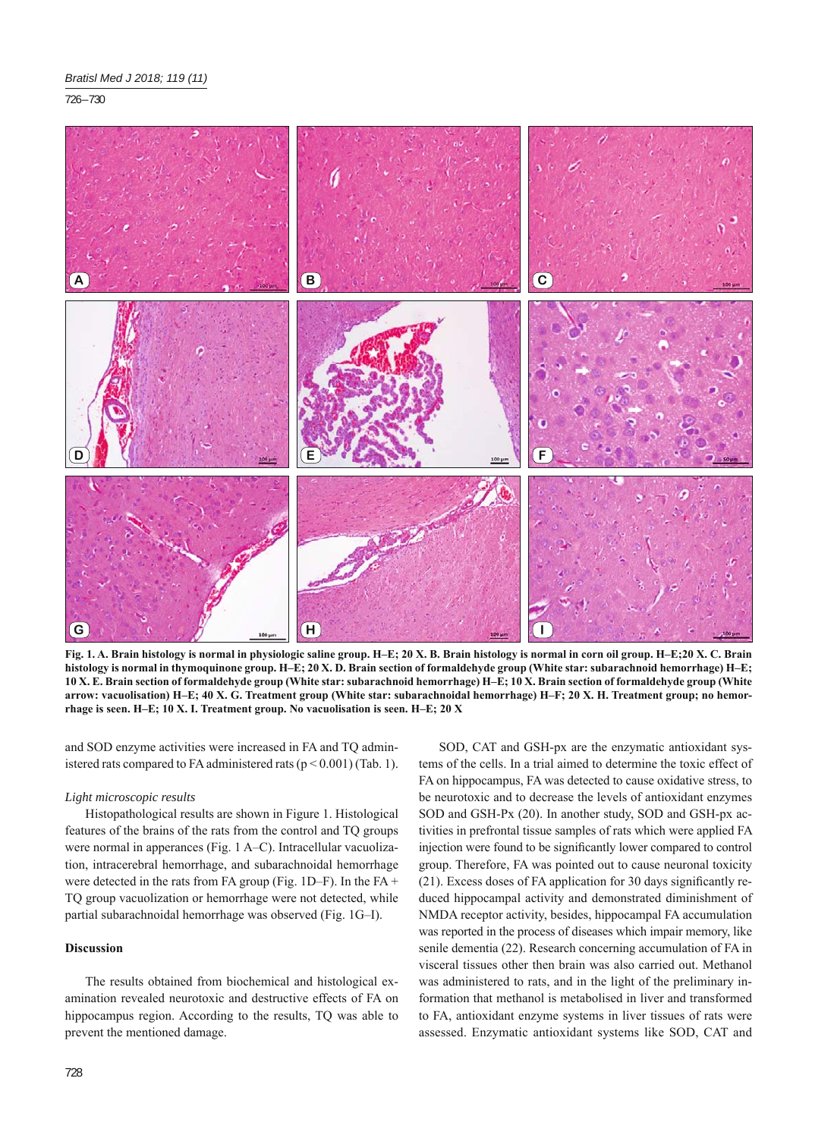726 – 730



**Fig. 1. A. Brain histology is normal in physiologic saline group. H–E; 20 X. B. Brain histology is normal in corn oil group. H–E;20 X. C. Brain histology is normal in thymoquinone group. H–E; 20 X. D. Brain section of formaldehyde group (White star: subarachnoid hemorrhage) H–E; 10 X. E. Brain section of formaldehyde group (White star: subarachnoid hemorrhage) H–E; 10 X. Brain section of formaldehyde group (White arrow: vacuolisation) H–E; 40 X. G. Treatment group (White star: subarachnoidal hemorrhage) H–F; 20 X. H. Treatment group; no hemorrhage is seen. H–E; 10 X. I. Treatment group. No vacuolisation is seen. H–E; 20 X**

and SOD enzyme activities were increased in FA and TQ administered rats compared to FA administered rats  $(p < 0.001)$  (Tab. 1).

## *Light microscopic results*

Histopathological results are shown in Figure 1. Histological features of the brains of the rats from the control and TQ groups were normal in apperances (Fig. 1 A–C). Intracellular vacuolization, intracerebral hemorrhage, and subarachnoidal hemorrhage were detected in the rats from FA group (Fig. 1D–F). In the FA + TQ group vacuolization or hemorrhage were not detected, while partial subarachnoidal hemorrhage was observed (Fig. 1G–I).

# **Discussion**

The results obtained from biochemical and histological examination revealed neurotoxic and destructive effects of FA on hippocampus region. According to the results, TQ was able to prevent the mentioned damage.

SOD, CAT and GSH-px are the enzymatic antioxidant systems of the cells. In a trial aimed to determine the toxic effect of FA on hippocampus, FA was detected to cause oxidative stress, to be neurotoxic and to decrease the levels of antioxidant enzymes SOD and GSH-Px (20). In another study, SOD and GSH-px activities in prefrontal tissue samples of rats which were applied FA injection were found to be significantly lower compared to control group. Therefore, FA was pointed out to cause neuronal toxicity  $(21)$ . Excess doses of FA application for 30 days significantly reduced hippocampal activity and demonstrated diminishment of NMDA receptor activity, besides, hippocampal FA accumulation was reported in the process of diseases which impair memory, like senile dementia (22). Research concerning accumulation of FA in visceral tissues other then brain was also carried out. Methanol was administered to rats, and in the light of the preliminary information that methanol is metabolised in liver and transformed to FA, antioxidant enzyme systems in liver tissues of rats were assessed. Enzymatic antioxidant systems like SOD, CAT and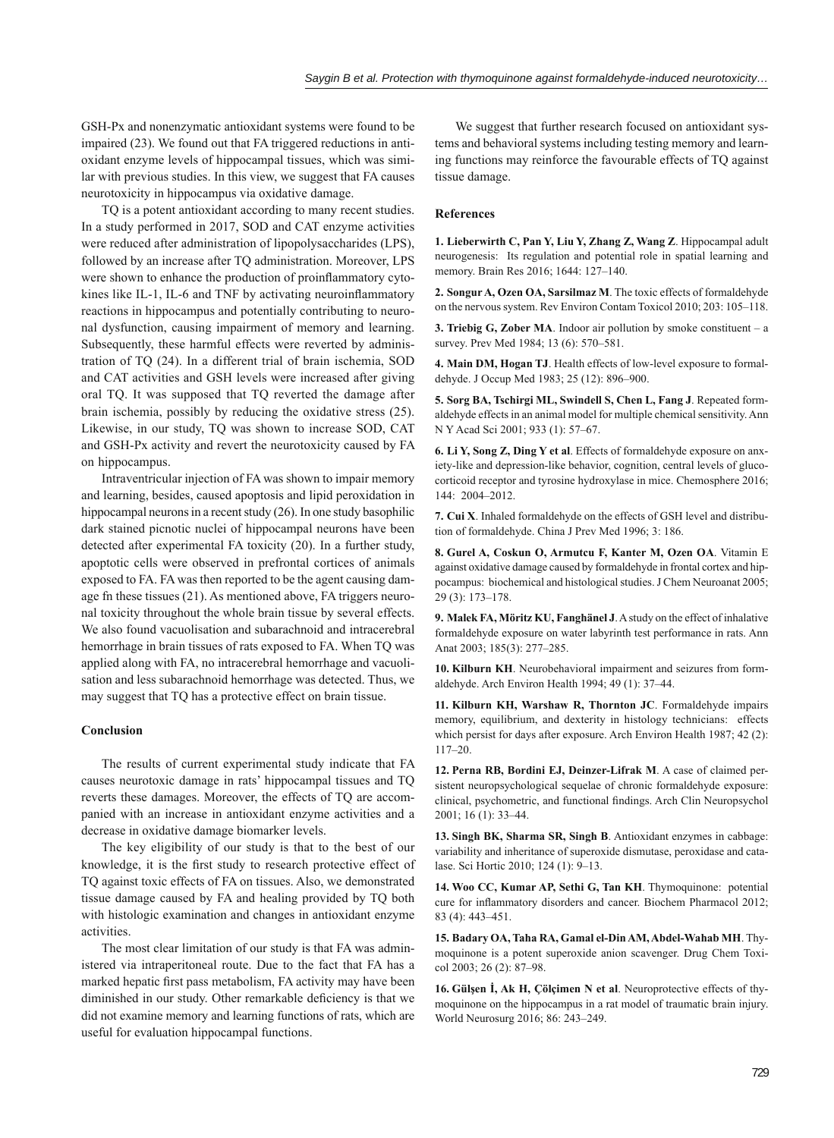GSH-Px and nonenzymatic antioxidant systems were found to be impaired (23). We found out that FA triggered reductions in antioxidant enzyme levels of hippocampal tissues, which was similar with previous studies. In this view, we suggest that FA causes neurotoxicity in hippocampus via oxidative damage.

TQ is a potent antioxidant according to many recent studies. In a study performed in 2017, SOD and CAT enzyme activities were reduced after administration of lipopolysaccharides (LPS), followed by an increase after TO administration. Moreover, LPS were shown to enhance the production of proinflammatory cytokines like IL-1, IL-6 and TNF by activating neuroinflammatory reactions in hippocampus and potentially contributing to neuronal dysfunction, causing impairment of memory and learning. Subsequently, these harmful effects were reverted by administration of TQ (24). In a different trial of brain ischemia, SOD and CAT activities and GSH levels were increased after giving oral TQ. It was supposed that TQ reverted the damage after brain ischemia, possibly by reducing the oxidative stress (25). Likewise, in our study, TQ was shown to increase SOD, CAT and GSH-Px activity and revert the neurotoxicity caused by FA on hippocampus.

Intraventricular injection of FA was shown to impair memory and learning, besides, caused apoptosis and lipid peroxidation in hippocampal neurons in a recent study (26). In one study basophilic dark stained picnotic nuclei of hippocampal neurons have been detected after experimental FA toxicity (20). In a further study, apoptotic cells were observed in prefrontal cortices of animals exposed to FA. FA was then reported to be the agent causing damage fn these tissues (21). As mentioned above, FA triggers neuronal toxicity throughout the whole brain tissue by several effects. We also found vacuolisation and subarachnoid and intracerebral hemorrhage in brain tissues of rats exposed to FA. When TQ was applied along with FA, no intracerebral hemorrhage and vacuolisation and less subarachnoid hemorrhage was detected. Thus, we may suggest that TQ has a protective effect on brain tissue.

## **Conclusion**

The results of current experimental study indicate that FA causes neurotoxic damage in rats' hippocampal tissues and TQ reverts these damages. Moreover, the effects of TQ are accompanied with an increase in antioxidant enzyme activities and a decrease in oxidative damage biomarker levels.

The key eligibility of our study is that to the best of our knowledge, it is the first study to research protective effect of TQ against toxic effects of FA on tissues. Also, we demonstrated tissue damage caused by FA and healing provided by TQ both with histologic examination and changes in antioxidant enzyme activities.

The most clear limitation of our study is that FA was administered via intraperitoneal route. Due to the fact that FA has a marked hepatic first pass metabolism, FA activity may have been diminished in our study. Other remarkable deficiency is that we did not examine memory and learning functions of rats, which are useful for evaluation hippocampal functions.

We suggest that further research focused on antioxidant systems and behavioral systems including testing memory and learning functions may reinforce the favourable effects of TQ against tissue damage.

#### **References**

**1. Lieberwirth C, Pan Y, Liu Y, Zhang Z, Wang Z**. Hippocampal adult neurogenesis: Its regulation and potential role in spatial learning and memory. Brain Res 2016; 1644: 127–140.

**2. Songur A, Ozen OA, Sarsilmaz M**. The toxic effects of formaldehyde on the nervous system. Rev Environ Contam Toxicol 2010; 203: 105–118.

**3. Triebig G, Zober MA**. Indoor air pollution by smoke constituent – a survey. Prev Med 1984; 13 (6): 570–581.

**4. Main DM, Hogan TJ**. Health effects of low-level exposure to formaldehyde. J Occup Med 1983; 25 (12): 896–900.

**5. Sorg BA, Tschirgi ML, Swindell S, Chen L, Fang J**. Repeated formaldehyde effects in an animal model for multiple chemical sensitivity. Ann N Y Acad Sci 2001; 933 (1): 57–67.

**6. Li Y, Song Z, Ding Y et al**. Effects of formaldehyde exposure on anxiety-like and depression-like behavior, cognition, central levels of glucocorticoid receptor and tyrosine hydroxylase in mice. Chemosphere 2016; 144: 2004–2012.

**7. Cui X**. Inhaled formaldehyde on the effects of GSH level and distribution of formaldehyde. China J Prev Med 1996; 3: 186.

**8. Gurel A, Coskun O, Armutcu F, Kanter M, Ozen OA**. Vitamin E against oxidative damage caused by formaldehyde in frontal cortex and hippocampus: biochemical and histological studies. J Chem Neuroanat 2005; 29 (3): 173–178.

**9. Malek FA, Möritz KU, Fanghänel J**. A study on the effect of inhalative formaldehyde exposure on water labyrinth test performance in rats. Ann Anat 2003; 185(3): 277–285.

**10. Kilburn KH**. Neurobehavioral impairment and seizures from formaldehyde. Arch Environ Health 1994; 49 (1): 37–44.

**11. Kilburn KH, Warshaw R, Thornton JC**. Formaldehyde impairs memory, equilibrium, and dexterity in histology technicians: effects which persist for days after exposure. Arch Environ Health 1987; 42 (2): 117–20.

**12. Perna RB, Bordini EJ, Deinzer-Lifrak M**. A case of claimed persistent neuropsychological sequelae of chronic formaldehyde exposure: clinical, psychometric, and functional findings. Arch Clin Neuropsychol 2001; 16 (1): 33–44.

**13. Singh BK, Sharma SR, Singh B**. Antioxidant enzymes in cabbage: variability and inheritance of superoxide dismutase, peroxidase and catalase. Sci Hortic 2010; 124 (1): 9–13.

**14. Woo CC, Kumar AP, Sethi G, Tan KH**. Thymoquinone: potential cure for inflammatory disorders and cancer. Biochem Pharmacol 2012; 83 (4): 443–451.

**15. Badary OA, Taha RA, Gamal el-Din AM, Abdel-Wahab MH**. Thymoquinone is a potent superoxide anion scavenger. Drug Chem Toxicol 2003; 26 (2): 87–98.

**16. Gülşen İ, Ak H, Çölçimen N et al**. Neuroprotective effects of thymoquinone on the hippocampus in a rat model of traumatic brain injury. World Neurosurg 2016; 86: 243–249.